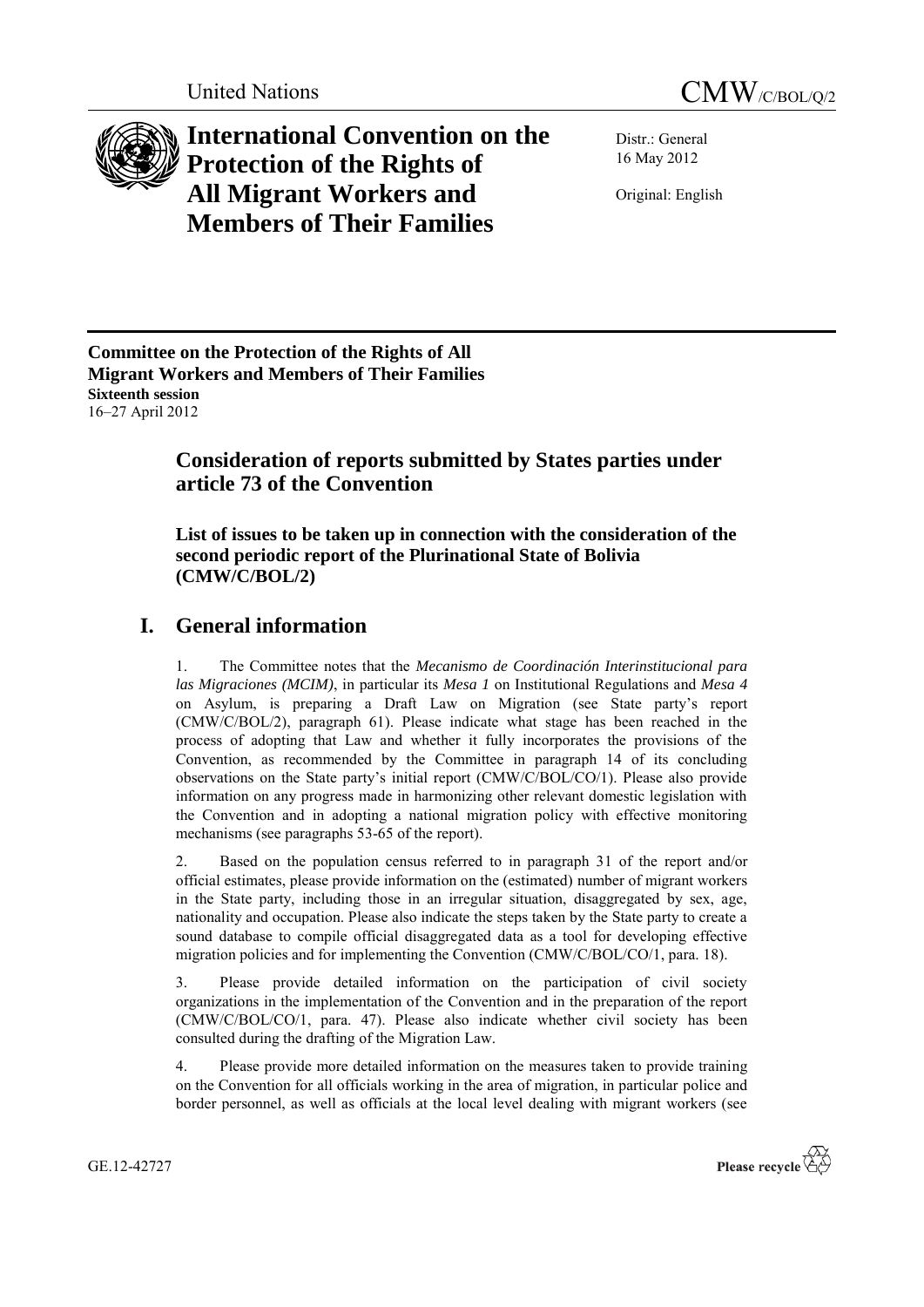



**International Convention on the Protection of the Rights of All Migrant Workers and Members of Their Families**

Distr.: General 16 May 2012

Original: English

**Committee on the Protection of the Rights of All Migrant Workers and Members of Their Families Sixteenth session**  16–27 April 2012

# **Consideration of reports submitted by States parties under article 73 of the Convention**

**List of issues to be taken up in connection with the consideration of the second periodic report of the Plurinational State of Bolivia (CMW/C/BOL/2)**

# **I. General information**

1. The Committee notes that the *Mecanismo de Coordinación Interinstitucional para las Migraciones (MCIM)*, in particular its *Mesa 1* on Institutional Regulations and *Mesa 4*  on Asylum, is preparing a Draft Law on Migration (see State party's report (CMW/C/BOL/2), paragraph 61). Please indicate what stage has been reached in the process of adopting that Law and whether it fully incorporates the provisions of the Convention, as recommended by the Committee in paragraph 14 of its concluding observations on the State party's initial report (CMW/C/BOL/CO/1). Please also provide information on any progress made in harmonizing other relevant domestic legislation with the Convention and in adopting a national migration policy with effective monitoring mechanisms (see paragraphs 53-65 of the report).

2. Based on the population census referred to in paragraph 31 of the report and/or official estimates, please provide information on the (estimated) number of migrant workers in the State party, including those in an irregular situation, disaggregated by sex, age, nationality and occupation. Please also indicate the steps taken by the State party to create a sound database to compile official disaggregated data as a tool for developing effective migration policies and for implementing the Convention (CMW/C/BOL/CO/1, para. 18).

3. Please provide detailed information on the participation of civil society organizations in the implementation of the Convention and in the preparation of the report (CMW/C/BOL/CO/1, para. 47). Please also indicate whether civil society has been consulted during the drafting of the Migration Law.

4. Please provide more detailed information on the measures taken to provide training on the Convention for all officials working in the area of migration, in particular police and border personnel, as well as officials at the local level dealing with migrant workers (see

GE.12-42727

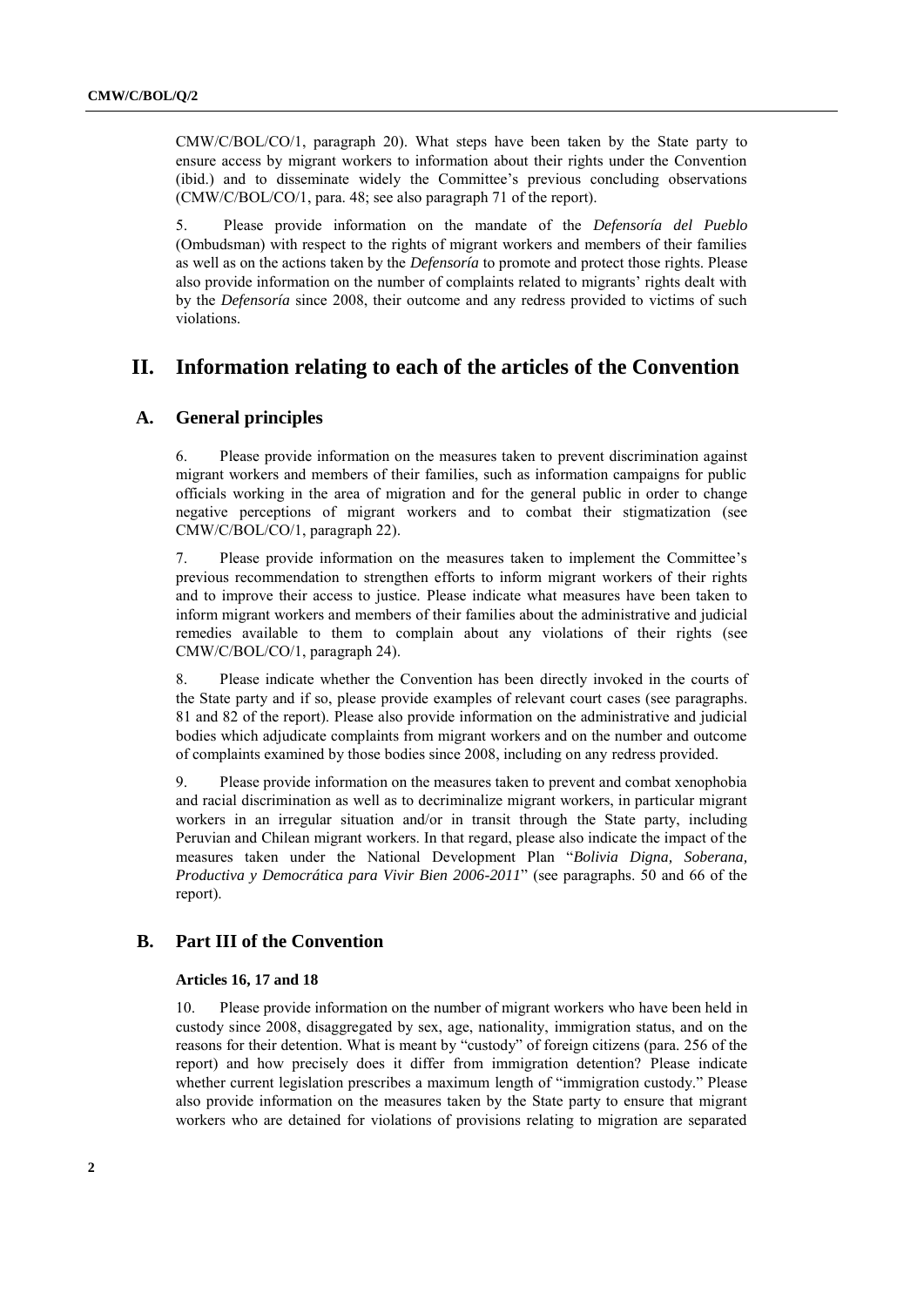CMW/C/BOL/CO/1, paragraph 20). What steps have been taken by the State party to ensure access by migrant workers to information about their rights under the Convention (ibid.) and to disseminate widely the Committee's previous concluding observations (CMW/C/BOL/CO/1, para. 48; see also paragraph 71 of the report).

5. Please provide information on the mandate of the *Defensoría del Pueblo* (Ombudsman) with respect to the rights of migrant workers and members of their families as well as on the actions taken by the *Defensoría* to promote and protect those rights. Please also provide information on the number of complaints related to migrants' rights dealt with by the *Defensoría* since 2008, their outcome and any redress provided to victims of such violations.

# **II. Information relating to each of the articles of the Convention**

## **A. General principles**

6. Please provide information on the measures taken to prevent discrimination against migrant workers and members of their families, such as information campaigns for public officials working in the area of migration and for the general public in order to change negative perceptions of migrant workers and to combat their stigmatization (see CMW/C/BOL/CO/1, paragraph 22).

7. Please provide information on the measures taken to implement the Committee's previous recommendation to strengthen efforts to inform migrant workers of their rights and to improve their access to justice. Please indicate what measures have been taken to inform migrant workers and members of their families about the administrative and judicial remedies available to them to complain about any violations of their rights (see CMW/C/BOL/CO/1, paragraph 24).

8. Please indicate whether the Convention has been directly invoked in the courts of the State party and if so, please provide examples of relevant court cases (see paragraphs. 81 and 82 of the report). Please also provide information on the administrative and judicial bodies which adjudicate complaints from migrant workers and on the number and outcome of complaints examined by those bodies since 2008, including on any redress provided.

9. Please provide information on the measures taken to prevent and combat xenophobia and racial discrimination as well as to decriminalize migrant workers, in particular migrant workers in an irregular situation and/or in transit through the State party, including Peruvian and Chilean migrant workers. In that regard, please also indicate the impact of the measures taken under the National Development Plan "*Bolivia Digna, Soberana, Productiva y Democrática para Vivir Bien 2006-2011*" (see paragraphs. 50 and 66 of the report).

## **B. Part III of the Convention**

## **Articles 16, 17 and 18**

10. Please provide information on the number of migrant workers who have been held in custody since 2008, disaggregated by sex, age, nationality, immigration status, and on the reasons for their detention. What is meant by "custody" of foreign citizens (para. 256 of the report) and how precisely does it differ from immigration detention? Please indicate whether current legislation prescribes a maximum length of "immigration custody." Please also provide information on the measures taken by the State party to ensure that migrant workers who are detained for violations of provisions relating to migration are separated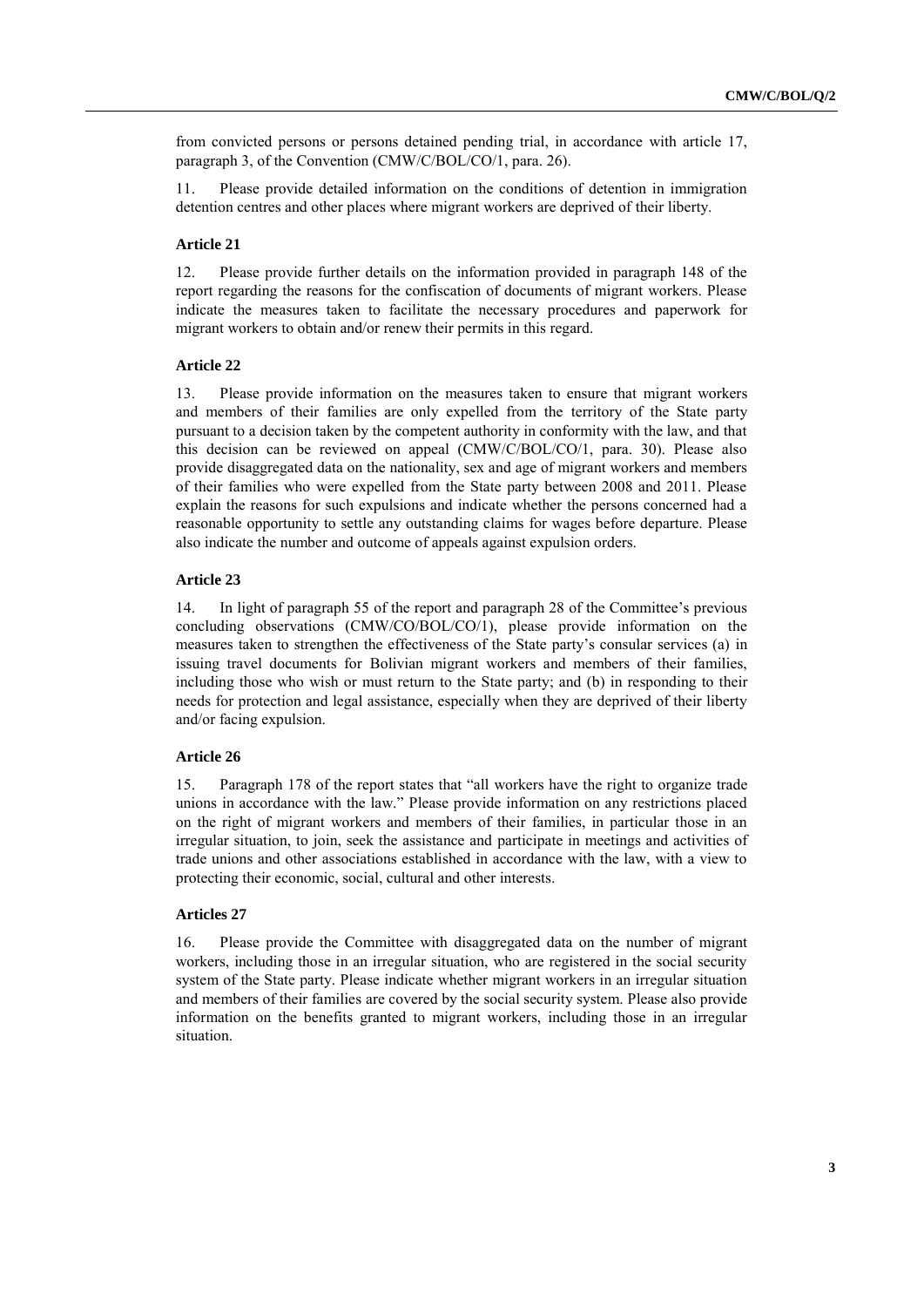from convicted persons or persons detained pending trial, in accordance with article 17, paragraph 3, of the Convention (CMW/C/BOL/CO/1, para. 26).

11. Please provide detailed information on the conditions of detention in immigration detention centres and other places where migrant workers are deprived of their liberty.

#### **Article 21**

12. Please provide further details on the information provided in paragraph 148 of the report regarding the reasons for the confiscation of documents of migrant workers. Please indicate the measures taken to facilitate the necessary procedures and paperwork for migrant workers to obtain and/or renew their permits in this regard.

### **Article 22**

13. Please provide information on the measures taken to ensure that migrant workers and members of their families are only expelled from the territory of the State party pursuant to a decision taken by the competent authority in conformity with the law, and that this decision can be reviewed on appeal (CMW/C/BOL/CO/1, para. 30). Please also provide disaggregated data on the nationality, sex and age of migrant workers and members of their families who were expelled from the State party between 2008 and 2011. Please explain the reasons for such expulsions and indicate whether the persons concerned had a reasonable opportunity to settle any outstanding claims for wages before departure. Please also indicate the number and outcome of appeals against expulsion orders.

#### **Article 23**

14. In light of paragraph 55 of the report and paragraph 28 of the Committee's previous concluding observations (CMW/CO/BOL/CO/1), please provide information on the measures taken to strengthen the effectiveness of the State party's consular services (a) in issuing travel documents for Bolivian migrant workers and members of their families, including those who wish or must return to the State party; and (b) in responding to their needs for protection and legal assistance, especially when they are deprived of their liberty and/or facing expulsion.

#### **Article 26**

15. Paragraph 178 of the report states that "all workers have the right to organize trade unions in accordance with the law." Please provide information on any restrictions placed on the right of migrant workers and members of their families, in particular those in an irregular situation, to join, seek the assistance and participate in meetings and activities of trade unions and other associations established in accordance with the law, with a view to protecting their economic, social, cultural and other interests.

## **Articles 27**

16. Please provide the Committee with disaggregated data on the number of migrant workers, including those in an irregular situation, who are registered in the social security system of the State party. Please indicate whether migrant workers in an irregular situation and members of their families are covered by the social security system. Please also provide information on the benefits granted to migrant workers, including those in an irregular situation.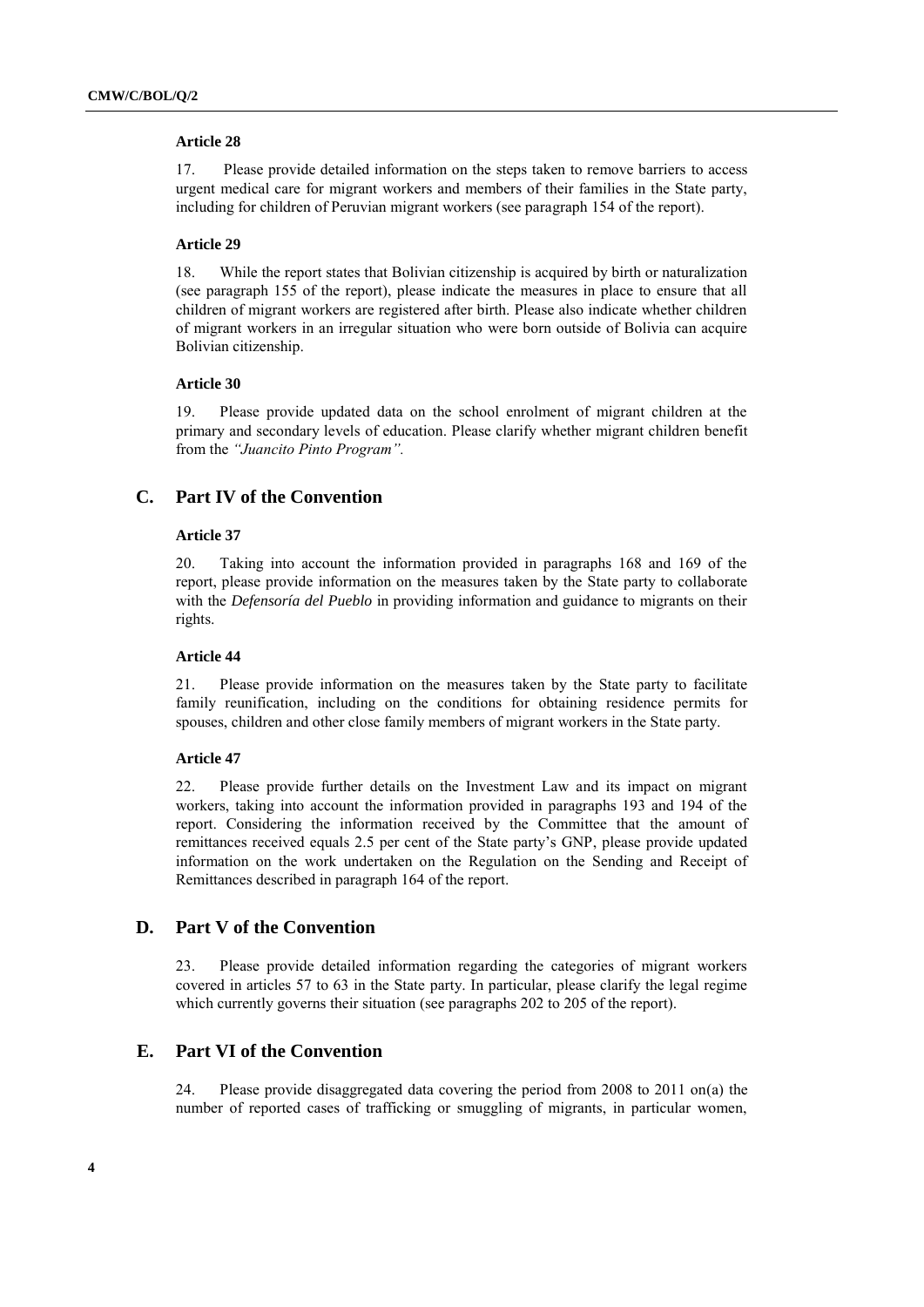#### **Article 28**

17. Please provide detailed information on the steps taken to remove barriers to access urgent medical care for migrant workers and members of their families in the State party, including for children of Peruvian migrant workers (see paragraph 154 of the report).

#### **Article 29**

18. While the report states that Bolivian citizenship is acquired by birth or naturalization (see paragraph 155 of the report), please indicate the measures in place to ensure that all children of migrant workers are registered after birth. Please also indicate whether children of migrant workers in an irregular situation who were born outside of Bolivia can acquire Bolivian citizenship.

#### **Article 30**

19. Please provide updated data on the school enrolment of migrant children at the primary and secondary levels of education. Please clarify whether migrant children benefit from the *"Juancito Pinto Program".* 

### **C. Part IV of the Convention**

#### **Article 37**

20. Taking into account the information provided in paragraphs 168 and 169 of the report, please provide information on the measures taken by the State party to collaborate with the *Defensoría del Pueblo* in providing information and guidance to migrants on their rights.

#### **Article 44**

21. Please provide information on the measures taken by the State party to facilitate family reunification, including on the conditions for obtaining residence permits for spouses, children and other close family members of migrant workers in the State party.

#### **Article 47**

22. Please provide further details on the Investment Law and its impact on migrant workers, taking into account the information provided in paragraphs 193 and 194 of the report. Considering the information received by the Committee that the amount of remittances received equals 2.5 per cent of the State party's GNP, please provide updated information on the work undertaken on the Regulation on the Sending and Receipt of Remittances described in paragraph 164 of the report.

## **D. Part V of the Convention**

23. Please provide detailed information regarding the categories of migrant workers covered in articles 57 to 63 in the State party. In particular, please clarify the legal regime which currently governs their situation (see paragraphs 202 to 205 of the report).

## **E. Part VI of the Convention**

24. Please provide disaggregated data covering the period from 2008 to 2011 on(a) the number of reported cases of trafficking or smuggling of migrants, in particular women,